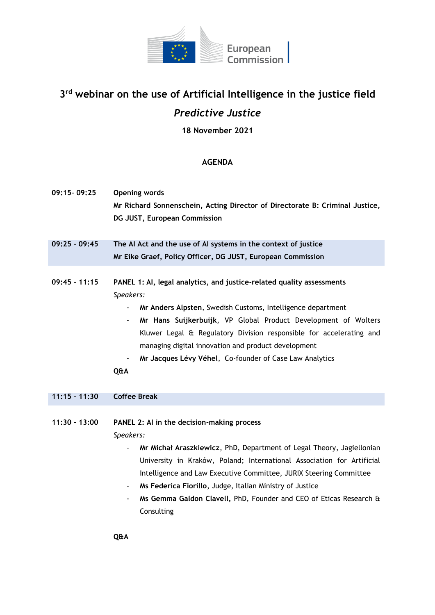

## **3 rd webinar on the use of Artificial Intelligence in the justice field** *Predictive Justice*

**18 November 2021**

## **AGENDA**

| 09:15-09:25     | <b>Opening words</b><br>Mr Richard Sonnenschein, Acting Director of Directorate B: Criminal Justice,<br>DG JUST, European Commission                                                                                                                                                                                                                                                                                                  |
|-----------------|---------------------------------------------------------------------------------------------------------------------------------------------------------------------------------------------------------------------------------------------------------------------------------------------------------------------------------------------------------------------------------------------------------------------------------------|
| $09:25 - 09:45$ | The Al Act and the use of Al systems in the context of justice                                                                                                                                                                                                                                                                                                                                                                        |
|                 | Mr Eike Graef, Policy Officer, DG JUST, European Commission                                                                                                                                                                                                                                                                                                                                                                           |
| $09:45 - 11:15$ | PANEL 1: Al, legal analytics, and justice-related quality assessments<br>Speakers:<br>Mr Anders Alpsten, Swedish Customs, Intelligence department<br>Mr Hans Suijkerbuijk, VP Global Product Development of Wolters<br>$\blacksquare$<br>Kluwer Legal & Regulatory Division responsible for accelerating and<br>managing digital innovation and product development<br>Mr Jacques Lévy Véhel, Co-founder of Case Law Analytics<br>Q&A |
| $11:15 - 11:30$ | <b>Coffee Break</b>                                                                                                                                                                                                                                                                                                                                                                                                                   |
| $11:30 - 13:00$ | PANEL 2: AI in the decision-making process<br>Speakers:<br>Mr Michał Araszkiewicz, PhD, Department of Legal Theory, Jagiellonian<br>University in Kraków, Poland; International Association for Artificial<br>Intelligence and Law Executive Committee, JURIX Steering Committee                                                                                                                                                      |

- **Ms Federica Fiorillo**, Judge, Italian Ministry of Justice
- **Ms Gemma Galdon Clavell,** PhD, Founder and CEO of Eticas Research & Consulting